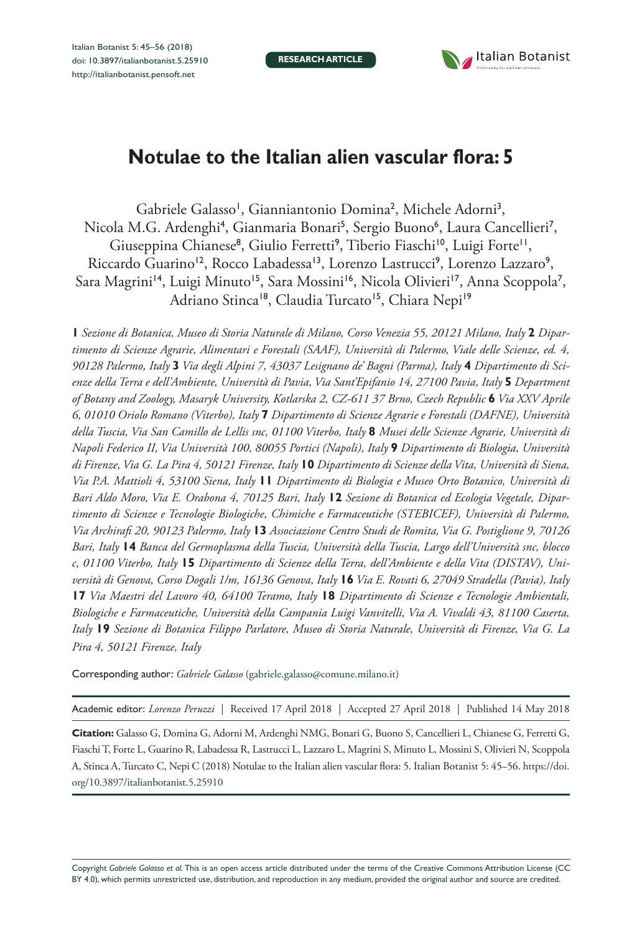**RESEARCH ARTICLE**



# **Notulae to the Italian alien vascular flora: 5**

Gabriele Galasso<sup>1</sup>, Gianniantonio Domina<sup>2</sup>, Michele Adorni<sup>3</sup>, Nicola M.G. Ardenghi<sup>4</sup>, Gianmaria Bonari<sup>5</sup>, Sergio Buono<sup>6</sup>, Laura Cancellieri<sup>7</sup>, Giuseppina Chianese<sup>8</sup>, Giulio Ferretti<sup>9</sup>, Tiberio Fiaschi<sup>10</sup>, Luigi Forte<sup>11</sup>, Riccardo Guarino<sup>12</sup>, Rocco Labadessa<sup>13</sup>, Lorenzo Lastrucci<sup>9</sup>, Lorenzo Lazzaro<sup>9</sup>, Sara Magrini<sup>14</sup>, Luigi Minuto<sup>15</sup>, Sara Mossini<sup>16</sup>, Nicola Olivieri<sup>17</sup>, Anna Scoppola<sup>7</sup>, Adriano Stinca<sup>18</sup>, Claudia Turcato<sup>15</sup>, Chiara Nepi<sup>19</sup>

**1** *Sezione di Botanica, Museo di Storia Naturale di Milano, Corso Venezia 55, 20121 Milano, Italy* **2** *Dipartimento di Scienze Agrarie, Alimentari e Forestali (SAAF), Università di Palermo, Viale delle Scienze, ed. 4, 90128 Palermo, Italy* **3** *Via degli Alpini 7, 43037 Lesignano de' Bagni (Parma), Italy* **4** *Dipartimento di Scienze della Terra e dell'Ambiente, Università di Pavia, Via Sant'Epifanio 14, 27100 Pavia, Italy* **5** *Department of Botany and Zoology, Masaryk University, Kotlarska 2, CZ-611 37 Brno, Czech Republic* **6** *Via XXV Aprile 6, 01010 Oriolo Romano (Viterbo), Italy* **7** *Dipartimento di Scienze Agrarie e Forestali (DAFNE), Università della Tuscia, Via San Camillo de Lellis snc, 01100 Viterbo, Italy* **8** *Musei delle Scienze Agrarie, Università di Napoli Federico II, Via Università 100, 80055 Portici (Napoli), Italy* **9** *Dipartimento di Biologia, Università di Firenze, Via G. La Pira 4, 50121 Firenze, Italy* **10** *Dipartimento di Scienze della Vita, Università di Siena, Via P.A. Mattioli 4, 53100 Siena, Italy* **11** *Dipartimento di Biologia e Museo Orto Botanico, Università di Bari Aldo Moro, Via E. Orabona 4, 70125 Bari, Italy* **12** *Sezione di Botanica ed Ecologia Vegetale, Dipartimento di Scienze e Tecnologie Biologiche, Chimiche e Farmaceutiche (STEBICEF), Università di Palermo, Via Archirafi 20, 90123 Palermo, Italy* **13** *Associazione Centro Studi de Romita, Via G. Postiglione 9, 70126 Bari, Italy* **14** *Banca del Germoplasma della Tuscia, Università della Tuscia, Largo dell'Università snc, blocco c, 01100 Viterbo, Italy* **15** *Dipartimento di Scienze della Terra, dell'Ambiente e della Vita (DISTAV), Università di Genova, Corso Dogali 1/m, 16136 Genova, Italy* **16** *Via E. Rovati 6, 27049 Stradella (Pavia), Italy* **17** *Via Maestri del Lavoro 40, 64100 Teramo, Italy* **18** *Dipartimento di Scienze e Tecnologie Ambientali, Biologiche e Farmaceutiche, Università della Campania Luigi Vanvitelli, Via A. Vivaldi 43, 81100 Caserta, Italy* **19** *Sezione di Botanica Filippo Parlatore, Museo di Storia Naturale, Università di Firenze, Via G. La Pira 4, 50121 Firenze, Italy*

Corresponding author: *Gabriele Galasso* ([gabriele.galasso@comune.milano.it](mailto:gabriele.galasso@comune.milano.it))

Academic editor: *Lorenzo Peruzzi* | Received 17 April 2018 | Accepted 27 April 2018 | Published 14 May 2018

**Citation:** Galasso G, Domina G, Adorni M, Ardenghi NMG, Bonari G, Buono S, Cancellieri L, Chianese G, Ferretti G, Fiaschi T, Forte L, Guarino R, Labadessa R, Lastrucci L, Lazzaro L, Magrini S, Minuto L, Mossini S, Olivieri N, Scoppola A, Stinca A, Turcato C, Nepi C (2018) Notulae to the Italian alien vascular flora: 5. Italian Botanist 5: 45–56. [https://doi.](https://doi.org/10.3897/italianbotanist.5.25910) [org/10.3897/italianbotanist.5.25910](https://doi.org/10.3897/italianbotanist.5.25910)

Copyright *Gabriele Galasso et al.* This is an open access article distributed under the terms of the [Creative Commons Attribution License \(CC](http://creativecommons.org/licenses/by/4.0/)  [BY 4.0\)](http://creativecommons.org/licenses/by/4.0/), which permits unrestricted use, distribution, and reproduction in any medium, provided the original author and source are credited.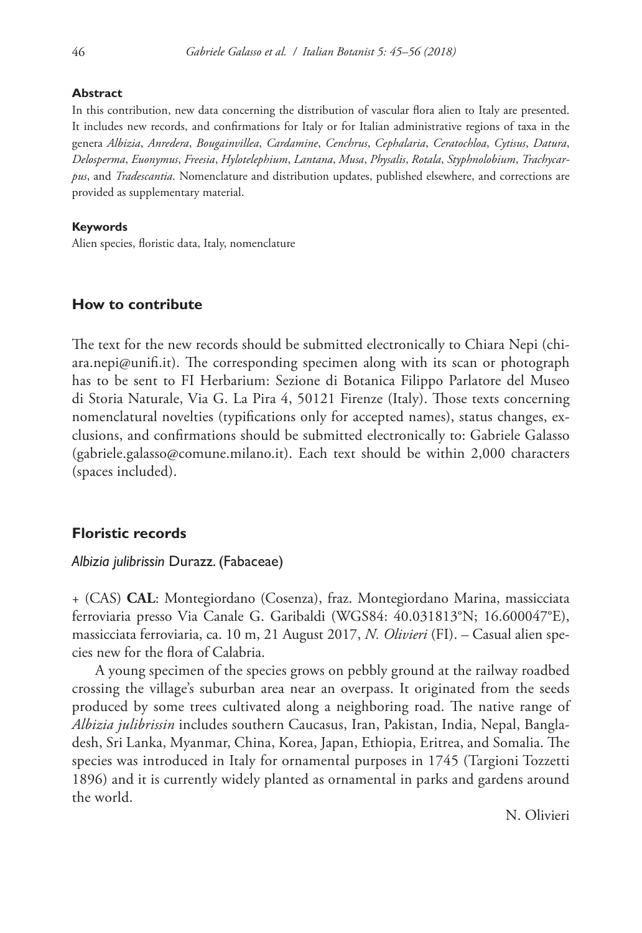#### **Abstract**

In this contribution, new data concerning the distribution of vascular flora alien to Italy are presented. It includes new records, and confirmations for Italy or for Italian administrative regions of taxa in the genera *Albizia*, *Anredera*, *Bougainvillea*, *Cardamine*, *Cenchrus*, *Cephalaria*, *Ceratochloa*, *Cytisus*, *Datura*, *Delosperma*, *Euonymus*, *Freesia*, *Hylotelephium*, *Lantana*, *Musa*, *Physalis*, *Rotala*, *Styphnolobium*, *Trachycarpus*, and *Tradescantia*. Nomenclature and distribution updates, published elsewhere, and corrections are provided as supplementary material.

#### **Keywords**

Alien species, floristic data, Italy, nomenclature

## **How to contribute**

The text for the new records should be submitted electronically to Chiara Nepi ([chi](mailto:chiara.nepi@unifi.it)[ara.nepi@unifi.it\)](mailto:chiara.nepi@unifi.it). The corresponding specimen along with its scan or photograph has to be sent to FI Herbarium: Sezione di Botanica Filippo Parlatore del Museo di Storia Naturale, Via G. La Pira 4, 50121 Firenze (Italy). Those texts concerning nomenclatural novelties (typifications only for accepted names), status changes, exclusions, and confirmations should be submitted electronically to: Gabriele Galasso ([gabriele.galasso@comune.milano.it\)](mailto:gabriele.galasso@comune.milano.it). Each text should be within 2,000 characters (spaces included).

## **Floristic records**

### *Albizia julibrissin* Durazz. (Fabaceae)

+ (CAS) **CAL**: Montegiordano (Cosenza), fraz. Montegiordano Marina, massicciata ferroviaria presso Via Canale G. Garibaldi (WGS84: 40.031813°N; 16.600047°E), massicciata ferroviaria, ca. 10 m, 21 August 2017, *N. Olivieri* (FI). – Casual alien species new for the flora of Calabria.

A young specimen of the species grows on pebbly ground at the railway roadbed crossing the village's suburban area near an overpass. It originated from the seeds produced by some trees cultivated along a neighboring road. The native range of *Albizia julibrissin* includes southern Caucasus, Iran, Pakistan, India, Nepal, Bangladesh, Sri Lanka, Myanmar, China, Korea, Japan, Ethiopia, Eritrea, and Somalia. The species was introduced in Italy for ornamental purposes in 1745 (Targioni Tozzetti 1896) and it is currently widely planted as ornamental in parks and gardens around the world.

N. Olivieri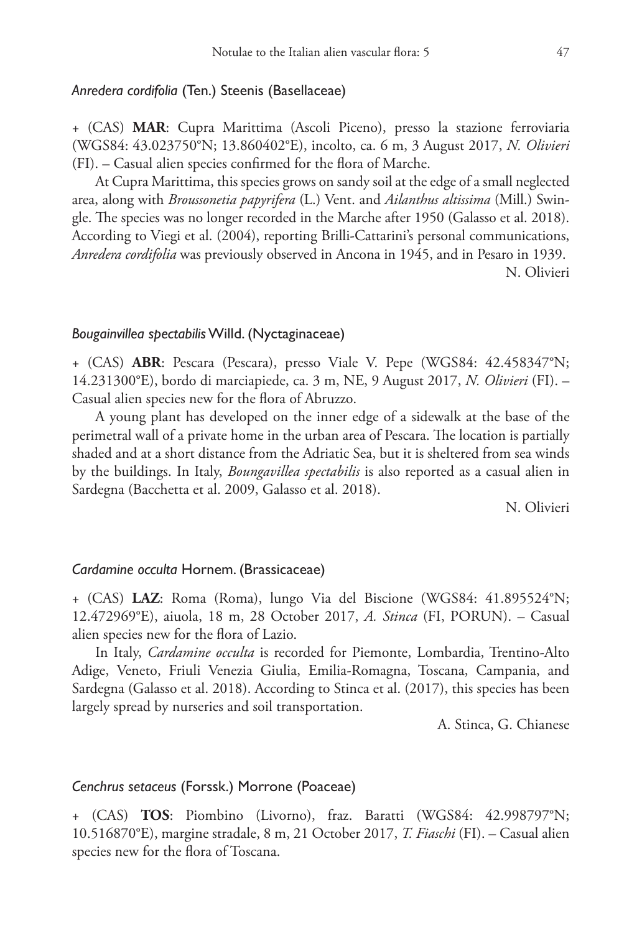## *Anredera cordifolia* (Ten.) Steenis (Basellaceae)

+ (CAS) **MAR**: Cupra Marittima (Ascoli Piceno), presso la stazione ferroviaria (WGS84: 43.023750°N; 13.860402°E), incolto, ca. 6 m, 3 August 2017, *N. Olivieri* (FI). – Casual alien species confirmed for the flora of Marche.

At Cupra Marittima, this species grows on sandy soil at the edge of a small neglected area, along with *Broussonetia papyrifera* (L.) Vent. and *Ailanthus altissima* (Mill.) Swingle. The species was no longer recorded in the Marche after 1950 (Galasso et al. 2018). According to Viegi et al. (2004), reporting Brilli-Cattarini's personal communications, *Anredera cordifolia* was previously observed in Ancona in 1945, and in Pesaro in 1939. N. Olivieri

#### *Bougainvillea spectabilis* Willd. (Nyctaginaceae)

+ (CAS) **ABR**: Pescara (Pescara), presso Viale V. Pepe (WGS84: 42.458347°N; 14.231300°E), bordo di marciapiede, ca. 3 m, NE, 9 August 2017, *N. Olivieri* (FI). – Casual alien species new for the flora of Abruzzo.

A young plant has developed on the inner edge of a sidewalk at the base of the perimetral wall of a private home in the urban area of Pescara. The location is partially shaded and at a short distance from the Adriatic Sea, but it is sheltered from sea winds by the buildings. In Italy, *Boungavillea spectabilis* is also reported as a casual alien in Sardegna (Bacchetta et al. 2009, Galasso et al. 2018).

N. Olivieri

## *Cardamine occulta* Hornem. (Brassicaceae)

+ (CAS) **LAZ**: Roma (Roma), lungo Via del Biscione (WGS84: 41.895524°N; 12.472969°E), aiuola, 18 m, 28 October 2017, *A. Stinca* (FI, PORUN). – Casual alien species new for the flora of Lazio.

In Italy, *Cardamine occulta* is recorded for Piemonte, Lombardia, Trentino-Alto Adige, Veneto, Friuli Venezia Giulia, Emilia-Romagna, Toscana, Campania, and Sardegna (Galasso et al. 2018). According to Stinca et al. (2017), this species has been largely spread by nurseries and soil transportation.

A. Stinca, G. Chianese

### *Cenchrus setaceus* (Forssk.) Morrone (Poaceae)

+ (CAS) **TOS**: Piombino (Livorno), fraz. Baratti (WGS84: 42.998797°N; 10.516870°E), margine stradale, 8 m, 21 October 2017, *T. Fiaschi* (FI). – Casual alien species new for the flora of Toscana.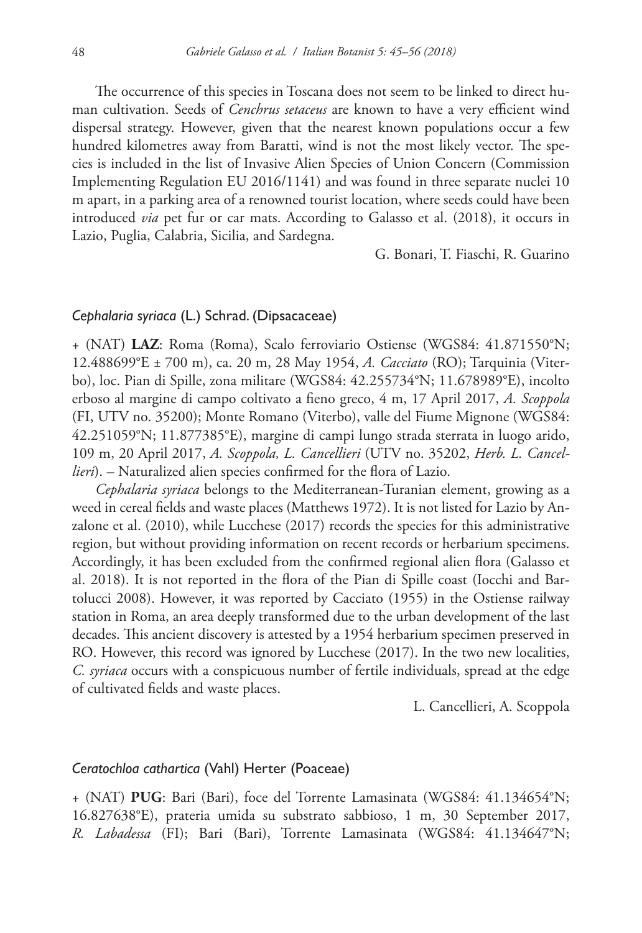The occurrence of this species in Toscana does not seem to be linked to direct human cultivation. Seeds of *Cenchrus setaceus* are known to have a very efficient wind dispersal strategy. However, given that the nearest known populations occur a few hundred kilometres away from Baratti, wind is not the most likely vector. The species is included in the list of Invasive Alien Species of Union Concern (Commission Implementing Regulation EU 2016/1141) and was found in three separate nuclei 10 m apart, in a parking area of a renowned tourist location, where seeds could have been introduced *via* pet fur or car mats. According to Galasso et al. (2018), it occurs in Lazio, Puglia, Calabria, Sicilia, and Sardegna.

G. Bonari, T. Fiaschi, R. Guarino

## *Cephalaria syriaca* (L.) Schrad. (Dipsacaceae)

+ (NAT) **LAZ**: Roma (Roma), Scalo ferroviario Ostiense (WGS84: 41.871550°N; 12.488699°E ± 700 m), ca. 20 m, 28 May 1954, *A. Cacciato* (RO); Tarquinia (Viterbo), loc. Pian di Spille, zona militare (WGS84: 42.255734°N; 11.678989°E), incolto erboso al margine di campo coltivato a fieno greco, 4 m, 17 April 2017, *A. Scoppola* (FI, UTV no. 35200); Monte Romano (Viterbo), valle del Fiume Mignone (WGS84: 42.251059°N; 11.877385°E), margine di campi lungo strada sterrata in luogo arido, 109 m, 20 April 2017, *A. Scoppola, L. Cancellieri* (UTV no. 35202, *Herb. L. Cancellieri*). – Naturalized alien species confirmed for the flora of Lazio.

*Cephalaria syriaca* belongs to the Mediterranean-Turanian element, growing as a weed in cereal fields and waste places (Matthews 1972). It is not listed for Lazio by Anzalone et al. (2010), while Lucchese (2017) records the species for this administrative region, but without providing information on recent records or herbarium specimens. Accordingly, it has been excluded from the confirmed regional alien flora (Galasso et al. 2018). It is not reported in the flora of the Pian di Spille coast (Iocchi and Bartolucci 2008). However, it was reported by Cacciato (1955) in the Ostiense railway station in Roma, an area deeply transformed due to the urban development of the last decades. This ancient discovery is attested by a 1954 herbarium specimen preserved in RO. However, this record was ignored by Lucchese (2017). In the two new localities, *C. syriaca* occurs with a conspicuous number of fertile individuals, spread at the edge of cultivated fields and waste places.

L. Cancellieri, A. Scoppola

#### *Ceratochloa cathartica* (Vahl) Herter (Poaceae)

+ (NAT) **PUG**: Bari (Bari), foce del Torrente Lamasinata (WGS84: 41.134654°N; 16.827638°E), prateria umida su substrato sabbioso, 1 m, 30 September 2017, *R. Labadessa* (FI); Bari (Bari), Torrente Lamasinata (WGS84: 41.134647°N;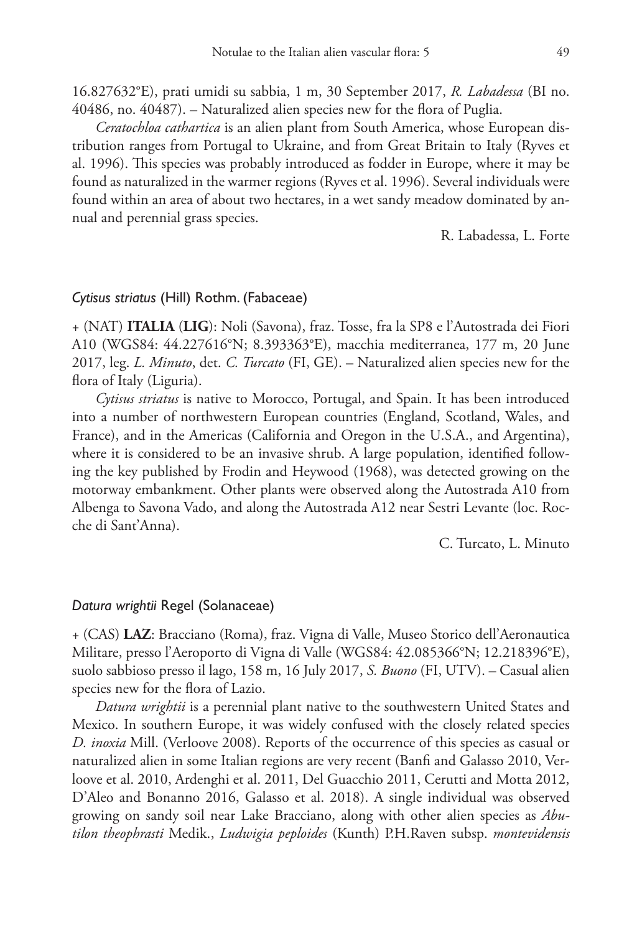16.827632°E), prati umidi su sabbia, 1 m, 30 September 2017, *R. Labadessa* (BI no. 40486, no. 40487). – Naturalized alien species new for the flora of Puglia.

*Ceratochloa cathartica* is an alien plant from South America, whose European distribution ranges from Portugal to Ukraine, and from Great Britain to Italy (Ryves et al. 1996). This species was probably introduced as fodder in Europe, where it may be found as naturalized in the warmer regions (Ryves et al. 1996). Several individuals were found within an area of about two hectares, in a wet sandy meadow dominated by annual and perennial grass species.

R. Labadessa, L. Forte

## *Cytisus striatus* (Hill) Rothm. (Fabaceae)

+ (NAT) **ITALIA** (**LIG**): Noli (Savona), fraz. Tosse, fra la SP8 e l'Autostrada dei Fiori A10 (WGS84: 44.227616°N; 8.393363°E), macchia mediterranea, 177 m, 20 June 2017, leg. *L. Minuto*, det. *C. Turcato* (FI, GE). – Naturalized alien species new for the flora of Italy (Liguria).

*Cytisus striatus* is native to Morocco, Portugal, and Spain. It has been introduced into a number of northwestern European countries (England, Scotland, Wales, and France), and in the Americas (California and Oregon in the U.S.A., and Argentina), where it is considered to be an invasive shrub. A large population, identified following the key published by Frodin and Heywood (1968), was detected growing on the motorway embankment. Other plants were observed along the Autostrada A10 from Albenga to Savona Vado, and along the Autostrada A12 near Sestri Levante (loc. Rocche di Sant'Anna).

C. Turcato, L. Minuto

### *Datura wrightii* Regel (Solanaceae)

+ (CAS) **LAZ**: Bracciano (Roma), fraz. Vigna di Valle, Museo Storico dell'Aeronautica Militare, presso l'Aeroporto di Vigna di Valle (WGS84: 42.085366°N; 12.218396°E), suolo sabbioso presso il lago, 158 m, 16 July 2017, *S. Buono* (FI, UTV). – Casual alien species new for the flora of Lazio.

*Datura wrightii* is a perennial plant native to the southwestern United States and Mexico. In southern Europe, it was widely confused with the closely related species *D. inoxia* Mill. (Verloove 2008). Reports of the occurrence of this species as casual or naturalized alien in some Italian regions are very recent (Banfi and Galasso 2010, Verloove et al. 2010, Ardenghi et al. 2011, Del Guacchio 2011, Cerutti and Motta 2012, D'Aleo and Bonanno 2016, Galasso et al. 2018). A single individual was observed growing on sandy soil near Lake Bracciano, along with other alien species as *Abutilon theophrasti* Medik., *Ludwigia peploides* (Kunth) P.H.Raven subsp. *montevidensis*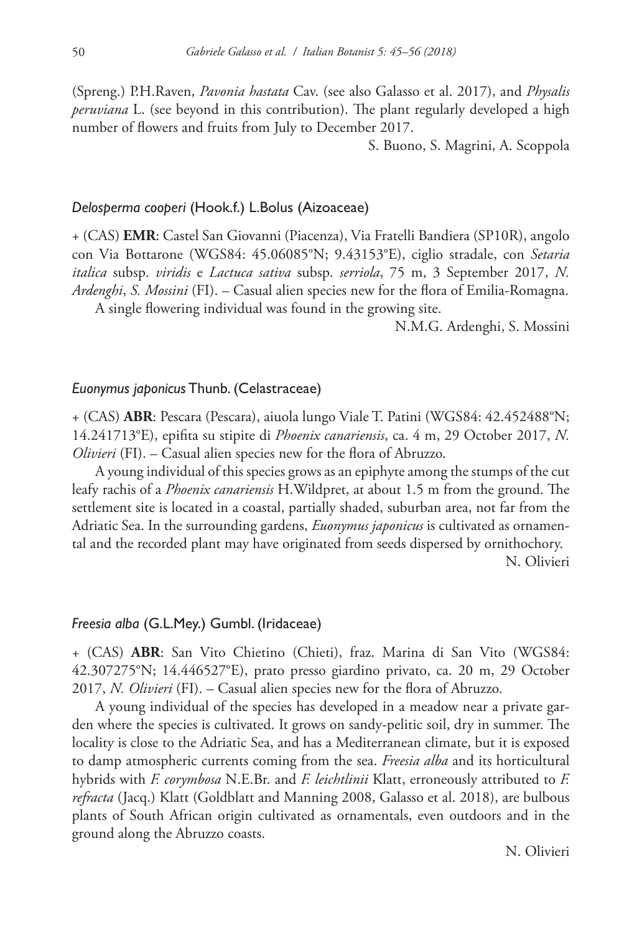(Spreng.) P.H.Raven, *Pavonia hastata* Cav. (see also Galasso et al. 2017), and *Physalis peruviana* L. (see beyond in this contribution). The plant regularly developed a high number of flowers and fruits from July to December 2017.

S. Buono, S. Magrini, A. Scoppola

## *Delosperma cooperi* (Hook.f.) L.Bolus (Aizoaceae)

+ (CAS) **EMR**: Castel San Giovanni (Piacenza), Via Fratelli Bandiera (SP10R), angolo con Via Bottarone (WGS84: 45.06085°N; 9.43153°E), ciglio stradale, con *Setaria italica* subsp. *viridis* e *Lactuca sativa* subsp. *serriola*, 75 m, 3 September 2017, *N. Ardenghi*, *S. Mossini* (FI). – Casual alien species new for the flora of Emilia-Romagna. A single flowering individual was found in the growing site.

N.M.G. Ardenghi, S. Mossini

## *Euonymus japonicus* Thunb. (Celastraceae)

+ (CAS) **ABR**: Pescara (Pescara), aiuola lungo Viale T. Patini (WGS84: 42.452488°N; 14.241713°E), epifita su stipite di *Phoenix canariensis*, ca. 4 m, 29 October 2017, *N. Olivieri* (FI). – Casual alien species new for the flora of Abruzzo.

A young individual of this species grows as an epiphyte among the stumps of the cut leafy rachis of a *Phoenix canariensis* H.Wildpret, at about 1.5 m from the ground. The settlement site is located in a coastal, partially shaded, suburban area, not far from the Adriatic Sea. In the surrounding gardens, *Euonymus japonicus* is cultivated as ornamental and the recorded plant may have originated from seeds dispersed by ornithochory.

N. Olivieri

## *Freesia alba* (G.L.Mey.) Gumbl. (Iridaceae)

+ (CAS) **ABR**: San Vito Chietino (Chieti), fraz. Marina di San Vito (WGS84: 42.307275°N; 14.446527°E), prato presso giardino privato, ca. 20 m, 29 October 2017, *N. Olivieri* (FI). – Casual alien species new for the flora of Abruzzo.

A young individual of the species has developed in a meadow near a private garden where the species is cultivated. It grows on sandy-pelitic soil, dry in summer. The locality is close to the Adriatic Sea, and has a Mediterranean climate, but it is exposed to damp atmospheric currents coming from the sea. *Freesia alba* and its horticultural hybrids with *F. corymbosa* N.E.Br. and *F. leichtlinii* Klatt, erroneously attributed to *F. refracta* (Jacq.) Klatt (Goldblatt and Manning 2008, Galasso et al. 2018), are bulbous plants of South African origin cultivated as ornamentals, even outdoors and in the ground along the Abruzzo coasts.

N. Olivieri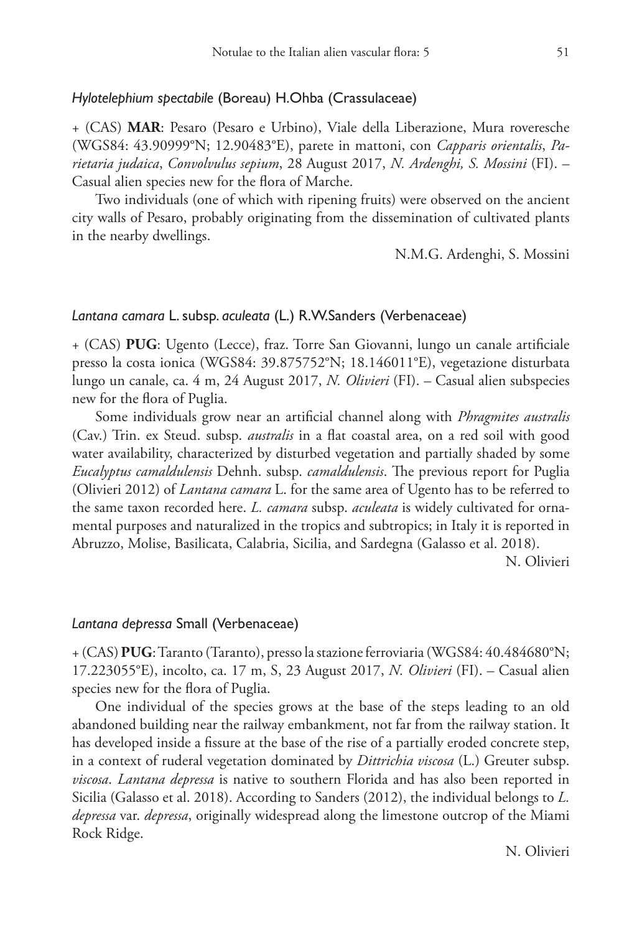## *Hylotelephium spectabile* (Boreau) H.Ohba (Crassulaceae)

+ (CAS) **MAR**: Pesaro (Pesaro e Urbino), Viale della Liberazione, Mura roveresche (WGS84: 43.90999°N; 12.90483°E), parete in mattoni, con *Capparis orientalis*, *Parietaria judaica*, *Convolvulus sepium*, 28 August 2017, *N. Ardenghi, S. Mossini* (FI). – Casual alien species new for the flora of Marche.

Two individuals (one of which with ripening fruits) were observed on the ancient city walls of Pesaro, probably originating from the dissemination of cultivated plants in the nearby dwellings.

N.M.G. Ardenghi, S. Mossini

# *Lantana camara* L. subsp. *aculeata* (L.) R.W.Sanders (Verbenaceae)

+ (CAS) **PUG**: Ugento (Lecce), fraz. Torre San Giovanni, lungo un canale artificiale presso la costa ionica (WGS84: 39.875752°N; 18.146011°E), vegetazione disturbata lungo un canale, ca. 4 m, 24 August 2017, *N. Olivieri* (FI). – Casual alien subspecies new for the flora of Puglia.

Some individuals grow near an artificial channel along with *Phragmites australis* (Cav.) Trin. ex Steud. subsp. *australis* in a flat coastal area, on a red soil with good water availability, characterized by disturbed vegetation and partially shaded by some *Eucalyptus camaldulensis* Dehnh. subsp. *camaldulensis*. The previous report for Puglia (Olivieri 2012) of *Lantana camara* L. for the same area of Ugento has to be referred to the same taxon recorded here. *L. camara* subsp. *aculeata* is widely cultivated for ornamental purposes and naturalized in the tropics and subtropics; in Italy it is reported in Abruzzo, Molise, Basilicata, Calabria, Sicilia, and Sardegna (Galasso et al. 2018).

N. Olivieri

## *Lantana depressa* Small (Verbenaceae)

+ (CAS) **PUG**: Taranto (Taranto), presso la stazione ferroviaria (WGS84: 40.484680°N; 17.223055°E), incolto, ca. 17 m, S, 23 August 2017, *N. Olivieri* (FI). – Casual alien species new for the flora of Puglia.

One individual of the species grows at the base of the steps leading to an old abandoned building near the railway embankment, not far from the railway station. It has developed inside a fissure at the base of the rise of a partially eroded concrete step, in a context of ruderal vegetation dominated by *Dittrichia viscosa* (L.) Greuter subsp. *viscosa*. *Lantana depressa* is native to southern Florida and has also been reported in Sicilia (Galasso et al. 2018). According to Sanders (2012), the individual belongs to *L. depressa* var. *depressa*, originally widespread along the limestone outcrop of the Miami Rock Ridge.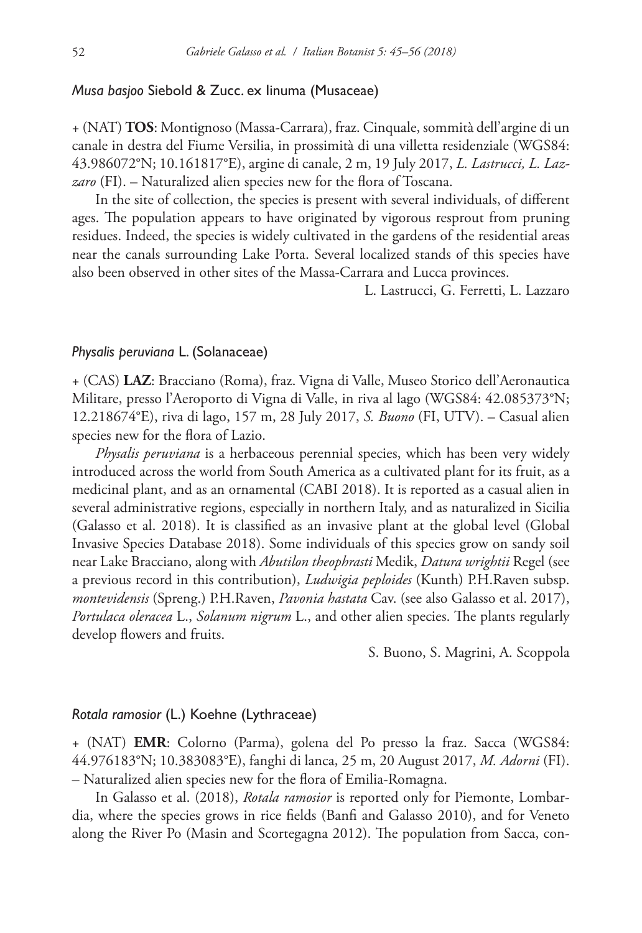## *Musa basjoo* Siebold & Zucc. ex Iinuma (Musaceae)

+ (NAT) **TOS**: Montignoso (Massa-Carrara), fraz. Cinquale, sommità dell'argine di un canale in destra del Fiume Versilia, in prossimità di una villetta residenziale (WGS84: 43.986072°N; 10.161817°E), argine di canale, 2 m, 19 July 2017, *L. Lastrucci, L. Lazzaro* (FI). – Naturalized alien species new for the flora of Toscana.

In the site of collection, the species is present with several individuals, of different ages. The population appears to have originated by vigorous resprout from pruning residues. Indeed, the species is widely cultivated in the gardens of the residential areas near the canals surrounding Lake Porta. Several localized stands of this species have also been observed in other sites of the Massa-Carrara and Lucca provinces.

L. Lastrucci, G. Ferretti, L. Lazzaro

## *Physalis peruviana* L. (Solanaceae)

+ (CAS) **LAZ**: Bracciano (Roma), fraz. Vigna di Valle, Museo Storico dell'Aeronautica Militare, presso l'Aeroporto di Vigna di Valle, in riva al lago (WGS84: 42.085373°N; 12.218674°E), riva di lago, 157 m, 28 July 2017, *S. Buono* (FI, UTV). – Casual alien species new for the flora of Lazio.

*Physalis peruviana* is a herbaceous perennial species, which has been very widely introduced across the world from South America as a cultivated plant for its fruit, as a medicinal plant, and as an ornamental (CABI 2018). It is reported as a casual alien in several administrative regions, especially in northern Italy, and as naturalized in Sicilia (Galasso et al. 2018). It is classified as an invasive plant at the global level (Global Invasive Species Database 2018). Some individuals of this species grow on sandy soil near Lake Bracciano, along with *Abutilon theophrasti* Medik, *Datura wrightii* Regel (see a previous record in this contribution), *Ludwigia peploides* (Kunth) P.H.Raven subsp. *montevidensis* (Spreng.) P.H.Raven, *Pavonia hastata* Cav. (see also Galasso et al. 2017), *Portulaca oleracea* L., *Solanum nigrum* L., and other alien species. The plants regularly develop flowers and fruits.

S. Buono, S. Magrini, A. Scoppola

#### *Rotala ramosior* (L.) Koehne (Lythraceae)

+ (NAT) **EMR**: Colorno (Parma), golena del Po presso la fraz. Sacca (WGS84: 44.976183°N; 10.383083°E), fanghi di lanca, 25 m, 20 August 2017, *M. Adorni* (FI). – Naturalized alien species new for the flora of Emilia-Romagna.

In Galasso et al. (2018), *Rotala ramosior* is reported only for Piemonte, Lombardia, where the species grows in rice fields (Banfi and Galasso 2010), and for Veneto along the River Po (Masin and Scortegagna 2012). The population from Sacca, con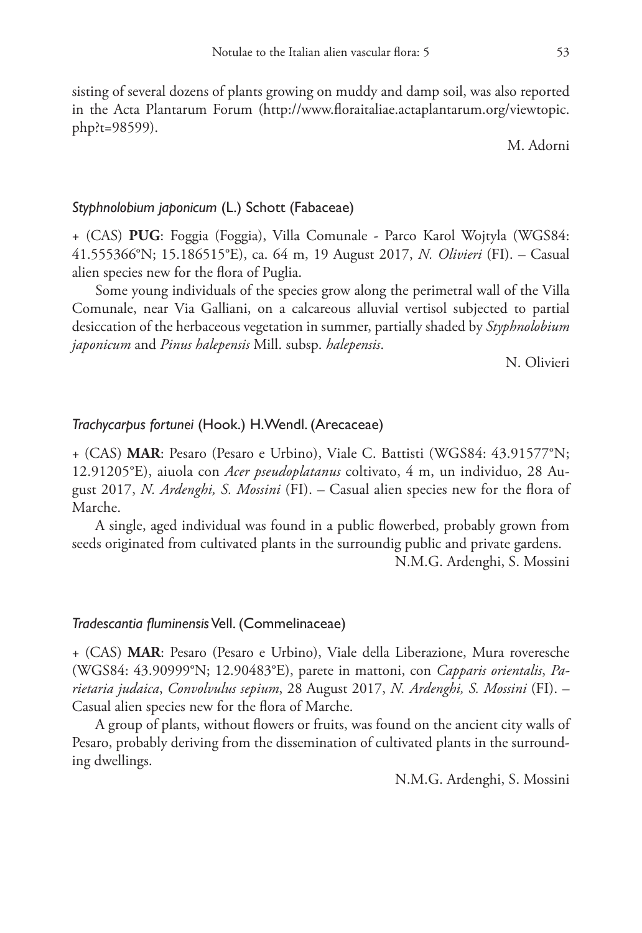sisting of several dozens of plants growing on muddy and damp soil, was also reported in the Acta Plantarum Forum ([http://www.floraitaliae.actaplantarum.org/viewtopic.](http://www.floraitaliae.actaplantarum.org/viewtopic.php?t=98599) [php?t=98599](http://www.floraitaliae.actaplantarum.org/viewtopic.php?t=98599)).

M. Adorni

### *Styphnolobium japonicum* (L.) Schott (Fabaceae)

+ (CAS) **PUG**: Foggia (Foggia), Villa Comunale - Parco Karol Wojtyla (WGS84: 41.555366°N; 15.186515°E), ca. 64 m, 19 August 2017, *N. Olivieri* (FI). – Casual alien species new for the flora of Puglia.

Some young individuals of the species grow along the perimetral wall of the Villa Comunale, near Via Galliani, on a calcareous alluvial vertisol subjected to partial desiccation of the herbaceous vegetation in summer, partially shaded by *Styphnolobium japonicum* and *Pinus halepensis* Mill. subsp. *halepensis*.

N. Olivieri

# *Trachycarpus fortunei* (Hook.) H.Wendl. (Arecaceae)

+ (CAS) **MAR**: Pesaro (Pesaro e Urbino), Viale C. Battisti (WGS84: 43.91577°N; 12.91205°E), aiuola con *Acer pseudoplatanus* coltivato, 4 m, un individuo, 28 August 2017, *N. Ardenghi, S. Mossini* (FI). – Casual alien species new for the flora of Marche.

A single, aged individual was found in a public flowerbed, probably grown from seeds originated from cultivated plants in the surroundig public and private gardens.

N.M.G. Ardenghi, S. Mossini

#### *Tradescantia fluminensis* Vell. (Commelinaceae)

+ (CAS) **MAR**: Pesaro (Pesaro e Urbino), Viale della Liberazione, Mura roveresche (WGS84: 43.90999°N; 12.90483°E), parete in mattoni, con *Capparis orientalis*, *Parietaria judaica*, *Convolvulus sepium*, 28 August 2017, *N. Ardenghi, S. Mossini* (FI). – Casual alien species new for the flora of Marche.

A group of plants, without flowers or fruits, was found on the ancient city walls of Pesaro, probably deriving from the dissemination of cultivated plants in the surrounding dwellings.

N.M.G. Ardenghi, S. Mossini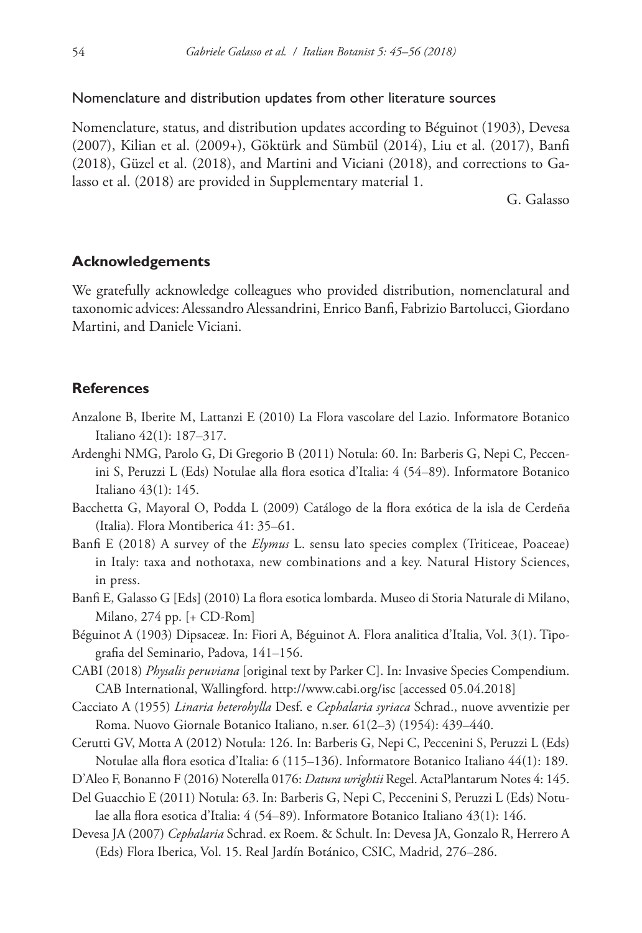## Nomenclature and distribution updates from other literature sources

Nomenclature, status, and distribution updates according to Béguinot (1903), Devesa (2007), Kilian et al. (2009+), Göktürk and Sümbül (2014), Liu et al. (2017), Banfi (2018), Güzel et al. (2018), and Martini and Viciani (2018), and corrections to Galasso et al. (2018) are provided in Supplementary material 1.

G. Galasso

## **Acknowledgements**

We gratefully acknowledge colleagues who provided distribution, nomenclatural and taxonomic advices: Alessandro Alessandrini, Enrico Banfi, Fabrizio Bartolucci, Giordano Martini, and Daniele Viciani.

## **References**

- Anzalone B, Iberite M, Lattanzi E (2010) La Flora vascolare del Lazio. Informatore Botanico Italiano 42(1): 187–317.
- Ardenghi NMG, Parolo G, Di Gregorio B (2011) Notula: 60. In: Barberis G, Nepi C, Peccenini S, Peruzzi L (Eds) Notulae alla flora esotica d'Italia: 4 (54–89). Informatore Botanico Italiano 43(1): 145.
- Bacchetta G, Mayoral O, Podda L (2009) Catálogo de la flora exótica de la isla de Cerdeña (Italia). Flora Montiberica 41: 35–61.
- Banfi E (2018) A survey of the *Elymus* L. sensu lato species complex (Triticeae, Poaceae) in Italy: taxa and nothotaxa, new combinations and a key. Natural History Sciences, in press.
- Banfi E, Galasso G [Eds] (2010) La flora esotica lombarda. Museo di Storia Naturale di Milano, Milano, 274 pp. [+ CD-Rom]
- Béguinot A (1903) Dipsaceæ. In: Fiori A, Béguinot A. Flora analitica d'Italia, Vol. 3(1). Tipografia del Seminario, Padova, 141–156.
- CABI (2018) *Physalis peruviana* [original text by Parker C]. In: Invasive Species Compendium. CAB International, Wallingford. <http://www.cabi.org/isc> [accessed 05.04.2018]
- Cacciato A (1955) *Linaria heterohylla* Desf. e *Cephalaria syriaca* Schrad., nuove avventizie per Roma. Nuovo Giornale Botanico Italiano, n.ser. 61(2–3) (1954): 439–440.
- Cerutti GV, Motta A (2012) Notula: 126. In: Barberis G, Nepi C, Peccenini S, Peruzzi L (Eds) Notulae alla flora esotica d'Italia: 6 (115–136). Informatore Botanico Italiano 44(1): 189.
- D'Aleo F, Bonanno F (2016) Noterella 0176: *Datura wrightii* Regel. ActaPlantarum Notes 4: 145.
- Del Guacchio E (2011) Notula: 63. In: Barberis G, Nepi C, Peccenini S, Peruzzi L (Eds) Notulae alla flora esotica d'Italia: 4 (54–89). Informatore Botanico Italiano 43(1): 146.
- Devesa JA (2007) *Cephalaria* Schrad. ex Roem. & Schult. In: Devesa JA, Gonzalo R, Herrero A (Eds) Flora Iberica, Vol. 15. Real Jardín Botánico, CSIC, Madrid, 276–286.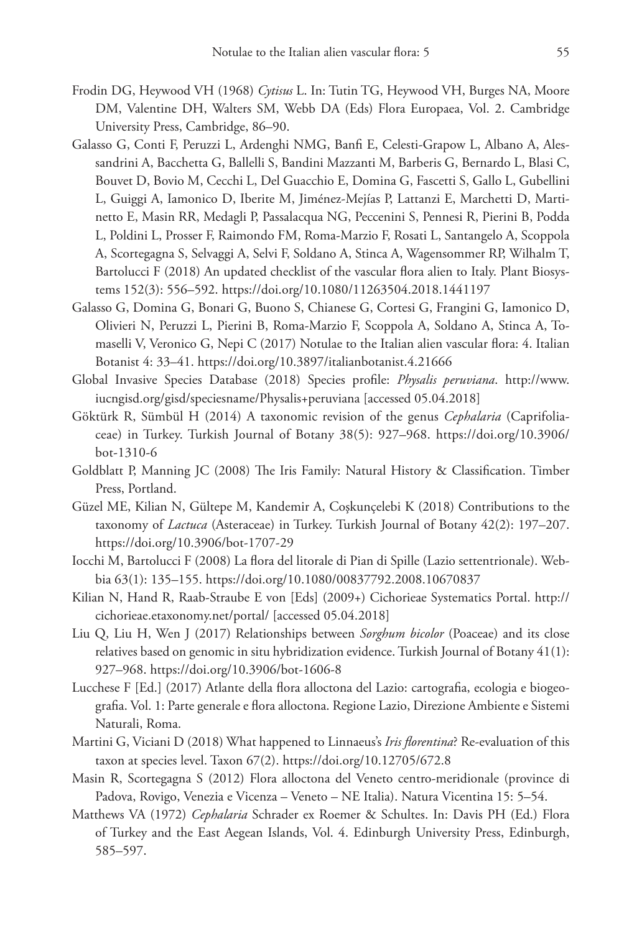- Frodin DG, Heywood VH (1968) *Cytisus* L. In: Tutin TG, Heywood VH, Burges NA, Moore DM, Valentine DH, Walters SM, Webb DA (Eds) Flora Europaea, Vol. 2. Cambridge University Press, Cambridge, 86–90.
- Galasso G, Conti F, Peruzzi L, Ardenghi NMG, Banfi E, Celesti-Grapow L, Albano A, Alessandrini A, Bacchetta G, Ballelli S, Bandini Mazzanti M, Barberis G, Bernardo L, Blasi C, Bouvet D, Bovio M, Cecchi L, Del Guacchio E, Domina G, Fascetti S, Gallo L, Gubellini L, Guiggi A, Iamonico D, Iberite M, Jiménez-Mejías P, Lattanzi E, Marchetti D, Martinetto E, Masin RR, Medagli P, Passalacqua NG, Peccenini S, Pennesi R, Pierini B, Podda L, Poldini L, Prosser F, Raimondo FM, Roma-Marzio F, Rosati L, Santangelo A, Scoppola A, Scortegagna S, Selvaggi A, Selvi F, Soldano A, Stinca A, Wagensommer RP, Wilhalm T, Bartolucci F (2018) An updated checklist of the vascular flora alien to Italy. Plant Biosystems 152(3): 556–592. <https://doi.org/10.1080/11263504.2018.1441197>
- Galasso G, Domina G, Bonari G, Buono S, Chianese G, Cortesi G, Frangini G, Iamonico D, Olivieri N, Peruzzi L, Pierini B, Roma-Marzio F, Scoppola A, Soldano A, Stinca A, Tomaselli V, Veronico G, Nepi C (2017) Notulae to the Italian alien vascular flora: 4. Italian Botanist 4: 33–41.<https://doi.org/10.3897/italianbotanist.4.21666>
- Global Invasive Species Database (2018) Species profile: *Physalis peruviana*. [http://www.](http://www.iucngisd.org/gisd/speciesname/Physalis+peruviana) [iucngisd.org/gisd/speciesname/Physalis+peruviana](http://www.iucngisd.org/gisd/speciesname/Physalis+peruviana) [accessed 05.04.2018]
- Göktürk R, Sümbül H (2014) A taxonomic revision of the genus *Cephalaria* (Caprifoliaceae) in Turkey. Turkish Journal of Botany 38(5): 927–968. [https://doi.org/10.3906/](https://doi.org/10.3906/bot-1310-6) [bot-1310-6](https://doi.org/10.3906/bot-1310-6)
- Goldblatt P, Manning JC (2008) The Iris Family: Natural History & Classification. Timber Press, Portland.
- Güzel ME, Kilian N, Gültepe M, Kandemir A, Coşkunçelebi K (2018) Contributions to the taxonomy of *Lactuca* (Asteraceae) in Turkey. Turkish Journal of Botany 42(2): 197–207. <https://doi.org/10.3906/bot-1707-29>
- Iocchi M, Bartolucci F (2008) La flora del litorale di Pian di Spille (Lazio settentrionale). Webbia 63(1): 135–155. <https://doi.org/10.1080/00837792.2008.10670837>
- Kilian N, Hand R, Raab-Straube E von [Eds] (2009+) Cichorieae Systematics Portal. [http://](http://cichorieae.etaxonomy.net/portal/) [cichorieae.etaxonomy.net/portal/](http://cichorieae.etaxonomy.net/portal/) [accessed 05.04.2018]
- Liu Q, Liu H, Wen J (2017) Relationships between *Sorghum bicolor* (Poaceae) and its close relatives based on genomic in situ hybridization evidence. Turkish Journal of Botany 41(1): 927–968.<https://doi.org/10.3906/bot-1606-8>
- Lucchese F [Ed.] (2017) Atlante della flora alloctona del Lazio: cartografia, ecologia e biogeografia. Vol. 1: Parte generale e flora alloctona. Regione Lazio, Direzione Ambiente e Sistemi Naturali, Roma.
- Martini G, Viciani D (2018) What happened to Linnaeus's *Iris florentina*? Re-evaluation of this taxon at species level. Taxon 67(2).<https://doi.org/10.12705/672.8>
- Masin R, Scortegagna S (2012) Flora alloctona del Veneto centro-meridionale (province di Padova, Rovigo, Venezia e Vicenza – Veneto – NE Italia). Natura Vicentina 15: 5–54.
- Matthews VA (1972) *Cephalaria* Schrader ex Roemer & Schultes. In: Davis PH (Ed.) Flora of Turkey and the East Aegean Islands, Vol. 4. Edinburgh University Press, Edinburgh, 585–597.